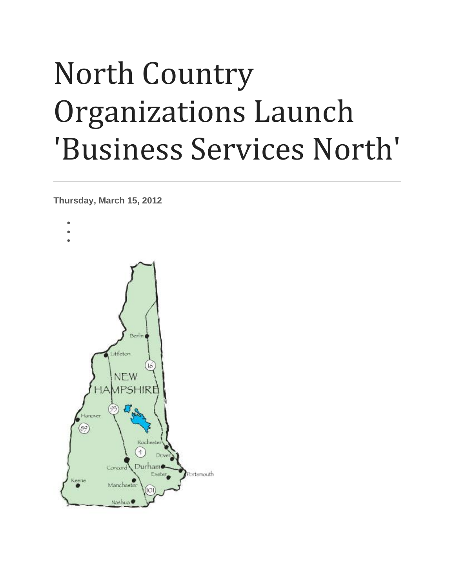## North Country Organizations Launch 'Business Services North'

**Thursday, March 15, 2012**

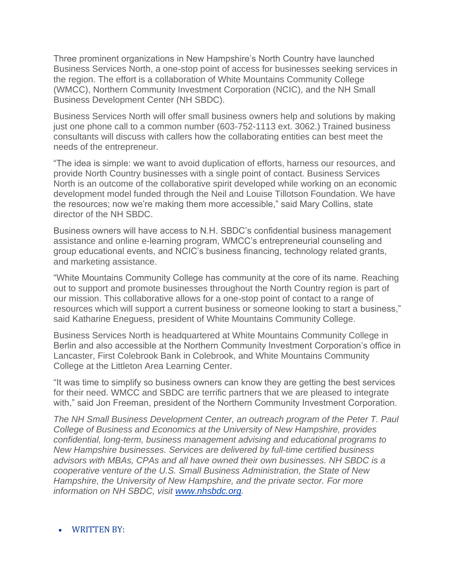Three prominent organizations in New Hampshire's North Country have launched Business Services North, a one-stop point of access for businesses seeking services in the region. The effort is a collaboration of White Mountains Community College (WMCC), Northern Community Investment Corporation (NCIC), and the NH Small Business Development Center (NH SBDC).

Business Services North will offer small business owners help and solutions by making just one phone call to a common number (603-752-1113 ext. 3062.) Trained business consultants will discuss with callers how the collaborating entities can best meet the needs of the entrepreneur.

"The idea is simple: we want to avoid duplication of efforts, harness our resources, and provide North Country businesses with a single point of contact. Business Services North is an outcome of the collaborative spirit developed while working on an economic development model funded through the Neil and Louise Tillotson Foundation. We have the resources; now we're making them more accessible," said Mary Collins, state director of the NH SBDC.

Business owners will have access to N.H. SBDC's confidential business management assistance and online e-learning program, WMCC's entrepreneurial counseling and group educational events, and NCIC's business financing, technology related grants, and marketing assistance.

"White Mountains Community College has community at the core of its name. Reaching out to support and promote businesses throughout the North Country region is part of our mission. This collaborative allows for a one-stop point of contact to a range of resources which will support a current business or someone looking to start a business," said Katharine Eneguess, president of White Mountains Community College.

Business Services North is headquartered at White Mountains Community College in Berlin and also accessible at the Northern Community Investment Corporation's office in Lancaster, First Colebrook Bank in Colebrook, and White Mountains Community College at the Littleton Area Learning Center.

"It was time to simplify so business owners can know they are getting the best services for their need. WMCC and SBDC are terrific partners that we are pleased to integrate with," said Jon Freeman, president of the Northern Community Investment Corporation.

*The NH Small Business Development Center, an outreach program of the Peter T. Paul College of Business and Economics at the University of New Hampshire, provides confidential, long-term, business management advising and educational programs to New Hampshire businesses. Services are delivered by full-time certified business advisors with MBAs, CPAs and all have owned their own businesses. NH SBDC is a cooperative venture of the U.S. Small Business Administration, the State of New Hampshire, the University of New Hampshire, and the private sector. For more information on NH SBDC, visit [www.nhsbdc.org.](http://www.nhsbdc.org/)*

## • WRITTEN BY: